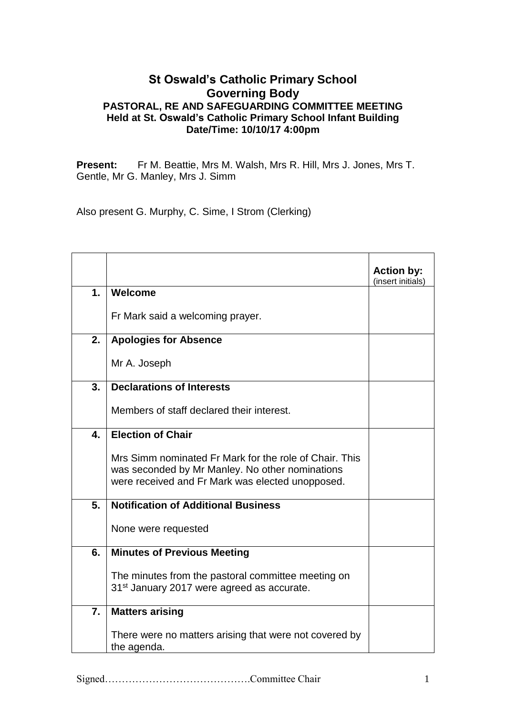## **St Oswald's Catholic Primary School Governing Body PASTORAL, RE AND SAFEGUARDING COMMITTEE MEETING Held at St. Oswald's Catholic Primary School Infant Building Date/Time: 10/10/17 4:00pm**

**Present:** Fr M. Beattie, Mrs M. Walsh, Mrs R. Hill, Mrs J. Jones, Mrs T. Gentle, Mr G. Manley, Mrs J. Simm

Also present G. Murphy, C. Sime, I Strom (Clerking)

|                |                                                                                                                                                               | <b>Action by:</b><br>(insert initials) |
|----------------|---------------------------------------------------------------------------------------------------------------------------------------------------------------|----------------------------------------|
| 1 <sub>1</sub> | Welcome                                                                                                                                                       |                                        |
|                | Fr Mark said a welcoming prayer.                                                                                                                              |                                        |
| 2.             | <b>Apologies for Absence</b>                                                                                                                                  |                                        |
|                | Mr A. Joseph                                                                                                                                                  |                                        |
| 3.             | <b>Declarations of Interests</b>                                                                                                                              |                                        |
|                | Members of staff declared their interest.                                                                                                                     |                                        |
| 4.             | <b>Election of Chair</b>                                                                                                                                      |                                        |
|                | Mrs Simm nominated Fr Mark for the role of Chair. This<br>was seconded by Mr Manley. No other nominations<br>were received and Fr Mark was elected unopposed. |                                        |
| 5.             | <b>Notification of Additional Business</b>                                                                                                                    |                                        |
|                | None were requested                                                                                                                                           |                                        |
| 6.             | <b>Minutes of Previous Meeting</b>                                                                                                                            |                                        |
|                | The minutes from the pastoral committee meeting on<br>31 <sup>st</sup> January 2017 were agreed as accurate.                                                  |                                        |
| 7.             | <b>Matters arising</b>                                                                                                                                        |                                        |
|                | There were no matters arising that were not covered by<br>the agenda.                                                                                         |                                        |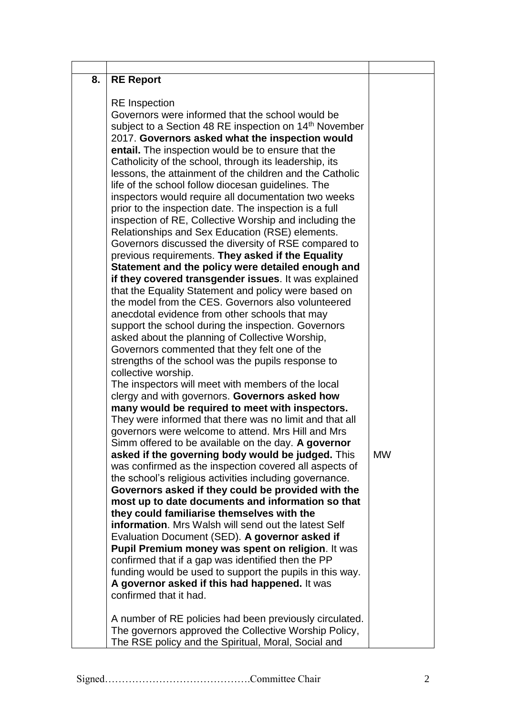| 8. | <b>RE Report</b>                                                                                     |           |
|----|------------------------------------------------------------------------------------------------------|-----------|
|    | <b>RE</b> Inspection                                                                                 |           |
|    | Governors were informed that the school would be                                                     |           |
|    | subject to a Section 48 RE inspection on 14 <sup>th</sup> November                                   |           |
|    | 2017. Governors asked what the inspection would                                                      |           |
|    | entail. The inspection would be to ensure that the                                                   |           |
|    | Catholicity of the school, through its leadership, its                                               |           |
|    | lessons, the attainment of the children and the Catholic                                             |           |
|    | life of the school follow diocesan guidelines. The                                                   |           |
|    | inspectors would require all documentation two weeks                                                 |           |
|    | prior to the inspection date. The inspection is a full                                               |           |
|    | inspection of RE, Collective Worship and including the                                               |           |
|    | Relationships and Sex Education (RSE) elements.                                                      |           |
|    | Governors discussed the diversity of RSE compared to                                                 |           |
|    | previous requirements. They asked if the Equality                                                    |           |
|    | Statement and the policy were detailed enough and                                                    |           |
|    | if they covered transgender issues. It was explained                                                 |           |
|    | that the Equality Statement and policy were based on                                                 |           |
|    | the model from the CES. Governors also volunteered                                                   |           |
|    | anecdotal evidence from other schools that may                                                       |           |
|    | support the school during the inspection. Governors                                                  |           |
|    | asked about the planning of Collective Worship,                                                      |           |
|    | Governors commented that they felt one of the                                                        |           |
|    | strengths of the school was the pupils response to                                                   |           |
|    | collective worship.                                                                                  |           |
|    | The inspectors will meet with members of the local<br>clergy and with governors. Governors asked how |           |
|    | many would be required to meet with inspectors.                                                      |           |
|    | They were informed that there was no limit and that all                                              |           |
|    | governors were welcome to attend. Mrs Hill and Mrs                                                   |           |
|    | Simm offered to be available on the day. A governor                                                  |           |
|    | asked if the governing body would be judged. This                                                    | <b>MW</b> |
|    | was confirmed as the inspection covered all aspects of                                               |           |
|    | the school's religious activities including governance.                                              |           |
|    | Governors asked if they could be provided with the                                                   |           |
|    | most up to date documents and information so that                                                    |           |
|    | they could familiarise themselves with the                                                           |           |
|    | <b>information.</b> Mrs Walsh will send out the latest Self                                          |           |
|    | Evaluation Document (SED). A governor asked if                                                       |           |
|    | Pupil Premium money was spent on religion. It was                                                    |           |
|    | confirmed that if a gap was identified then the PP                                                   |           |
|    | funding would be used to support the pupils in this way.                                             |           |
|    | A governor asked if this had happened. It was<br>confirmed that it had.                              |           |
|    | A number of RE policies had been previously circulated.                                              |           |
|    | The governors approved the Collective Worship Policy,                                                |           |
|    | The RSE policy and the Spiritual, Moral, Social and                                                  |           |
|    |                                                                                                      |           |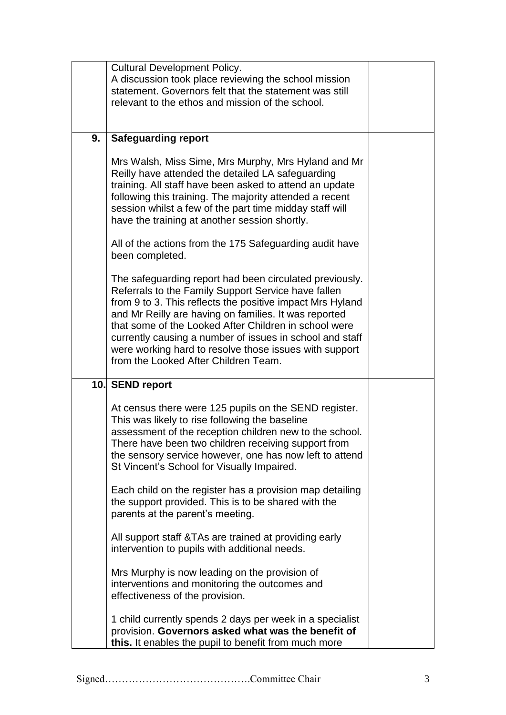|    | <b>Cultural Development Policy.</b>                                                                                                                                                                                                                                                                                                                                                                                                                         |  |
|----|-------------------------------------------------------------------------------------------------------------------------------------------------------------------------------------------------------------------------------------------------------------------------------------------------------------------------------------------------------------------------------------------------------------------------------------------------------------|--|
|    | A discussion took place reviewing the school mission                                                                                                                                                                                                                                                                                                                                                                                                        |  |
|    | statement. Governors felt that the statement was still                                                                                                                                                                                                                                                                                                                                                                                                      |  |
|    | relevant to the ethos and mission of the school.                                                                                                                                                                                                                                                                                                                                                                                                            |  |
|    |                                                                                                                                                                                                                                                                                                                                                                                                                                                             |  |
|    |                                                                                                                                                                                                                                                                                                                                                                                                                                                             |  |
| 9. | <b>Safeguarding report</b>                                                                                                                                                                                                                                                                                                                                                                                                                                  |  |
|    | Mrs Walsh, Miss Sime, Mrs Murphy, Mrs Hyland and Mr<br>Reilly have attended the detailed LA safeguarding<br>training. All staff have been asked to attend an update<br>following this training. The majority attended a recent<br>session whilst a few of the part time midday staff will<br>have the training at another session shortly.                                                                                                                  |  |
|    | All of the actions from the 175 Safeguarding audit have<br>been completed.                                                                                                                                                                                                                                                                                                                                                                                  |  |
|    | The safeguarding report had been circulated previously.<br>Referrals to the Family Support Service have fallen<br>from 9 to 3. This reflects the positive impact Mrs Hyland<br>and Mr Reilly are having on families. It was reported<br>that some of the Looked After Children in school were<br>currently causing a number of issues in school and staff<br>were working hard to resolve those issues with support<br>from the Looked After Children Team. |  |
|    | 10. SEND report                                                                                                                                                                                                                                                                                                                                                                                                                                             |  |
|    | At census there were 125 pupils on the SEND register.<br>This was likely to rise following the baseline<br>assessment of the reception children new to the school.<br>There have been two children receiving support from<br>the sensory service however, one has now left to attend<br>St Vincent's School for Visually Impaired.                                                                                                                          |  |
|    | Each child on the register has a provision map detailing<br>the support provided. This is to be shared with the<br>parents at the parent's meeting.                                                                                                                                                                                                                                                                                                         |  |
|    | All support staff & TAs are trained at providing early<br>intervention to pupils with additional needs.                                                                                                                                                                                                                                                                                                                                                     |  |
|    | Mrs Murphy is now leading on the provision of<br>interventions and monitoring the outcomes and<br>effectiveness of the provision.                                                                                                                                                                                                                                                                                                                           |  |
|    | 1 child currently spends 2 days per week in a specialist<br>provision. Governors asked what was the benefit of<br>this. It enables the pupil to benefit from much more                                                                                                                                                                                                                                                                                      |  |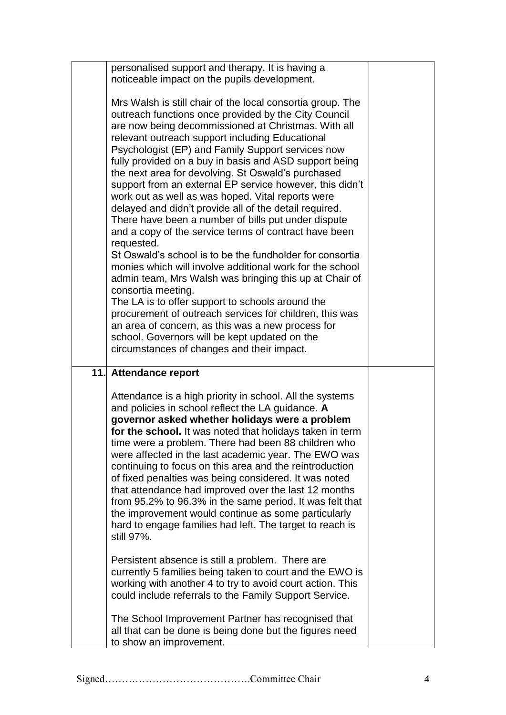| personalised support and therapy. It is having a<br>noticeable impact on the pupils development.                                                                                                                                                                                                                                                                                                                                                                                                                                                                                                                                                                                                           |  |
|------------------------------------------------------------------------------------------------------------------------------------------------------------------------------------------------------------------------------------------------------------------------------------------------------------------------------------------------------------------------------------------------------------------------------------------------------------------------------------------------------------------------------------------------------------------------------------------------------------------------------------------------------------------------------------------------------------|--|
| Mrs Walsh is still chair of the local consortia group. The<br>outreach functions once provided by the City Council<br>are now being decommissioned at Christmas. With all<br>relevant outreach support including Educational<br>Psychologist (EP) and Family Support services now<br>fully provided on a buy in basis and ASD support being<br>the next area for devolving. St Oswald's purchased<br>support from an external EP service however, this didn't<br>work out as well as was hoped. Vital reports were<br>delayed and didn't provide all of the detail required.<br>There have been a number of bills put under dispute<br>and a copy of the service terms of contract have been<br>requested. |  |
| St Oswald's school is to be the fundholder for consortia<br>monies which will involve additional work for the school<br>admin team, Mrs Walsh was bringing this up at Chair of<br>consortia meeting.<br>The LA is to offer support to schools around the<br>procurement of outreach services for children, this was<br>an area of concern, as this was a new process for<br>school. Governors will be kept updated on the<br>circumstances of changes and their impact.                                                                                                                                                                                                                                    |  |
| 11. Attendance report                                                                                                                                                                                                                                                                                                                                                                                                                                                                                                                                                                                                                                                                                      |  |
| Attendance is a high priority in school. All the systems<br>and policies in school reflect the LA guidance. A<br>governor asked whether holidays were a problem<br>for the school. It was noted that holidays taken in term<br>time were a problem. There had been 88 children who<br>were affected in the last academic year. The EWO was<br>continuing to focus on this area and the reintroduction<br>of fixed penalties was being considered. It was noted<br>that attendance had improved over the last 12 months<br>from 95.2% to 96.3% in the same period. It was felt that<br>the improvement would continue as some particularly<br>hard to engage families had left. The target to reach is      |  |
| still 97%.                                                                                                                                                                                                                                                                                                                                                                                                                                                                                                                                                                                                                                                                                                 |  |
| Persistent absence is still a problem. There are<br>currently 5 families being taken to court and the EWO is<br>working with another 4 to try to avoid court action. This<br>could include referrals to the Family Support Service.                                                                                                                                                                                                                                                                                                                                                                                                                                                                        |  |